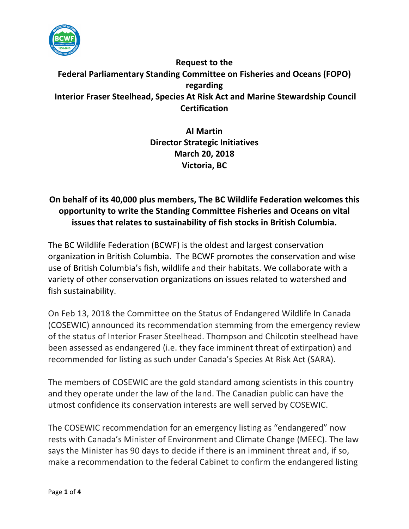

## **Request to the Federal Parliamentary Standing Committee on Fisheries and Oceans (FOPO) regarding Interior Fraser Steelhead, Species At Risk Act and Marine Stewardship Council Certification**

**Al Martin Director Strategic Initiatives March 20, 2018 Victoria, BC**

## On behalf of its 40,000 plus members, The BC Wildlife Federation welcomes this **opportunity to write the Standing Committee Fisheries and Oceans on vital issues that relates to sustainability of fish stocks in British Columbia.**

The BC Wildlife Federation (BCWF) is the oldest and largest conservation organization in British Columbia. The BCWF promotes the conservation and wise use of British Columbia's fish, wildlife and their habitats. We collaborate with a variety of other conservation organizations on issues related to watershed and fish sustainability.

On Feb 13, 2018 the Committee on the Status of Endangered Wildlife In Canada (COSEWIC) announced its recommendation stemming from the emergency review of the status of Interior Fraser Steelhead. Thompson and Chilcotin steelhead have been assessed as endangered (i.e. they face imminent threat of extirpation) and recommended for listing as such under Canada's Species At Risk Act (SARA).

The members of COSEWIC are the gold standard among scientists in this country and they operate under the law of the land. The Canadian public can have the utmost confidence its conservation interests are well served by COSEWIC.

The COSEWIC recommendation for an emergency listing as "endangered" now rests with Canada's Minister of Environment and Climate Change (MEEC). The law says the Minister has 90 days to decide if there is an imminent threat and, if so, make a recommendation to the federal Cabinet to confirm the endangered listing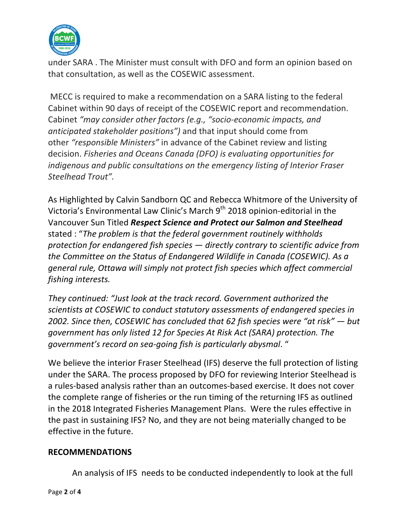

under SARA. The Minister must consult with DFO and form an opinion based on that consultation, as well as the COSEWIC assessment.

MECC is required to make a recommendation on a SARA listing to the federal Cabinet within 90 days of receipt of the COSEWIC report and recommendation. Cabinet *"may consider other factors (e.g., "socio-economic impacts, and anticipated stakeholder positions*") and that input should come from other *"responsible Ministers"* in advance of the Cabinet review and listing decision. *Fisheries and Oceans Canada (DFO) is evaluating opportunities for indigenous and public consultations on the emergency listing of Interior Fraser Steelhead Trout".*

As Highlighted by Calvin Sandborn QC and Rebecca Whitmore of the University of Victoria's Environmental Law Clinic's March  $9<sup>th</sup>$  2018 opinion-editorial in the Vancouver Sun Titled *Respect Science and Protect our Salmon and Steelhead* stated : "The problem is that the federal government routinely withholds *protection* for endangered fish species — directly contrary to scientific advice from *the Committee on the Status of Endangered Wildlife in Canada (COSEWIC).* As a general rule, Ottawa will simply not protect fish species which affect commercial *fishing interests.*

*They continued: "Just look at the track record. Government authorized the scientists at COSEWIC to conduct statutory assessments of endangered species in 2002.* Since then, COSEWIC has concluded that 62 fish species were "at risk" — but *government has only listed 12 for Species At Risk Act (SARA) protection. The* government's record on sea-going fish is particularly abysmal. "

We believe the interior Fraser Steelhead (IFS) deserve the full protection of listing under the SARA. The process proposed by DFO for reviewing Interior Steelhead is a rules-based analysis rather than an outcomes-based exercise. It does not cover the complete range of fisheries or the run timing of the returning IFS as outlined in the 2018 Integrated Fisheries Management Plans. Were the rules effective in the past in sustaining IFS? No, and they are not being materially changed to be effective in the future.

## **RECOMMENDATIONS**

An analysis of IFS needs to be conducted independently to look at the full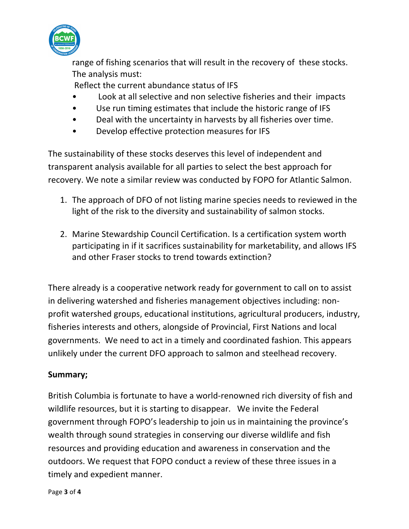

range of fishing scenarios that will result in the recovery of these stocks. The analysis must:

Reflect the current abundance status of IFS

- Look at all selective and non selective fisheries and their impacts
- Use run timing estimates that include the historic range of IFS
- Deal with the uncertainty in harvests by all fisheries over time.
- Develop effective protection measures for IFS

The sustainability of these stocks deserves this level of independent and transparent analysis available for all parties to select the best approach for recovery. We note a similar review was conducted by FOPO for Atlantic Salmon.

- 1. The approach of DFO of not listing marine species needs to reviewed in the light of the risk to the diversity and sustainability of salmon stocks.
- 2. Marine Stewardship Council Certification. Is a certification system worth participating in if it sacrifices sustainability for marketability, and allows IFS and other Fraser stocks to trend towards extinction?

There already is a cooperative network ready for government to call on to assist in delivering watershed and fisheries management objectives including: nonprofit watershed groups, educational institutions, agricultural producers, industry, fisheries interests and others, alongside of Provincial, First Nations and local governments. We need to act in a timely and coordinated fashion. This appears unlikely under the current DFO approach to salmon and steelhead recovery.

## **Summary;**

British Columbia is fortunate to have a world-renowned rich diversity of fish and wildlife resources, but it is starting to disappear. We invite the Federal government through FOPO's leadership to join us in maintaining the province's wealth through sound strategies in conserving our diverse wildlife and fish resources and providing education and awareness in conservation and the outdoors. We request that FOPO conduct a review of these three issues in a timely and expedient manner.

Page **3** of **4**